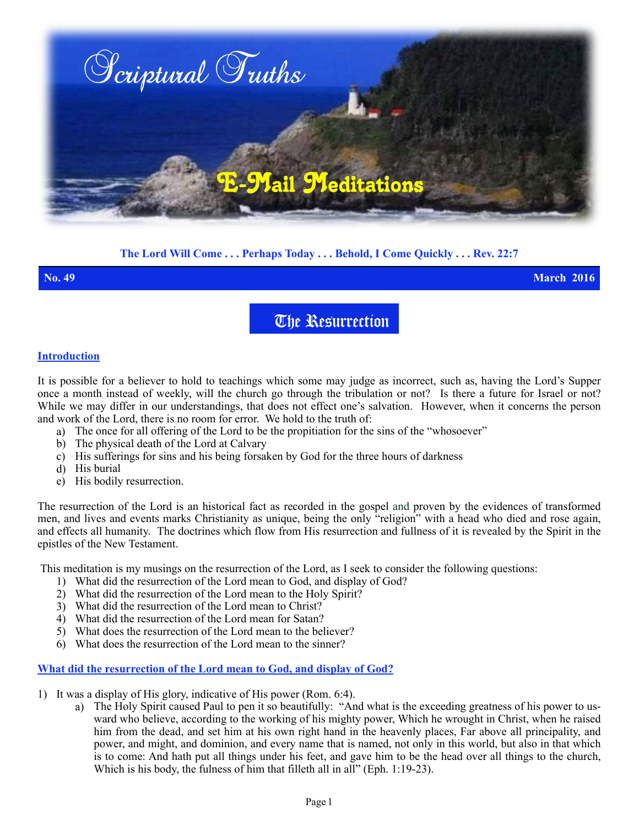

## **The Lord Will Come . . . Perhaps Today . . . Behold, I Come Quickly . . . Rev. 22:7**

**No. 49 March 2016**

# The Resurrection

## **Introduction**

It is possible for a believer to hold to teachings which some may judge as incorrect, such as, having the Lord's Supper once a month instead of weekly, will the church go through the tribulation or not? Is there a future for Israel or not? While we may differ in our understandings, that does not effect one's salvation. However, when it concerns the person and work of the Lord, there is no room for error. We hold to the truth of:

- a) The once for all offering of the Lord to be the propitiation for the sins of the "whosoever"
- b) The physical death of the Lord at Calvary
- c) His sufferings for sins and his being forsaken by God for the three hours of darkness
- d) His burial
- e) His bodily resurrection.

The resurrection of the Lord is an historical fact as recorded in the gospel and proven by the evidences of transformed men, and lives and events marks Christianity as unique, being the only "religion" with a head who died and rose again, and effects all humanity. The doctrines which flow from His resurrection and fullness of it is revealed by the Spirit in the epistles of the New Testament.

This meditation is my musings on the resurrection of the Lord, as I seek to consider the following questions:

- 1) What did the resurrection of the Lord mean to God, and display of God?
- 2) What did the resurrection of the Lord mean to the Holy Spirit?
- 3) What did the resurrection of the Lord mean to Christ?
- 4) What did the resurrection of the Lord mean for Satan?
- 5) What does the resurrection of the Lord mean to the believer?
- 6) What does the resurrection of the Lord mean to the sinner?

# **What did the resurrection of the Lord mean to God, and display of God?**

- 1) It was a display of His glory, indicative of His power (Rom. 6:4).
	- a) The Holy Spirit caused Paul to pen it so beautifully: "And what is the exceeding greatness of his power to usward who believe, according to the working of his mighty power, Which he wrought in Christ, when he raised him from the dead, and set him at his own right hand in the heavenly places, Far above all principality, and power, and might, and dominion, and every name that is named, not only in this world, but also in that which is to come: And hath put all things under his feet, and gave him to be the head over all things to the church, Which is his body, the fulness of him that filleth all in all" (Eph. 1:19-23).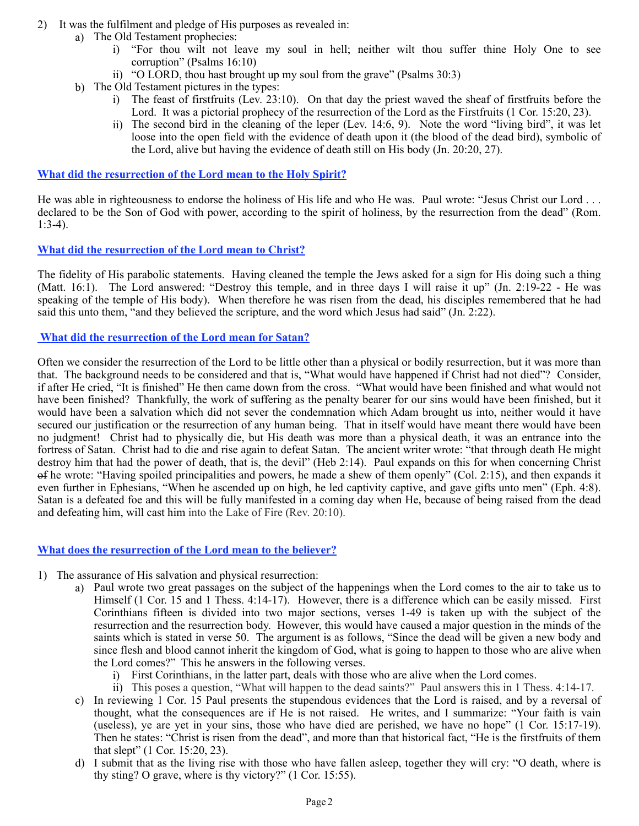- 2) It was the fulfilment and pledge of His purposes as revealed in:
	- a) The Old Testament prophecies:
		- i) "For thou wilt not leave my soul in hell; neither wilt thou suffer thine Holy One to see corruption" (Psalms 16:10)
		- ii) "O LORD, thou hast brought up my soul from the grave" (Psalms 30:3)
	- b) The Old Testament pictures in the types:
		- i) The feast of firstfruits (Lev. 23:10). On that day the priest waved the sheaf of firstfruits before the Lord. It was a pictorial prophecy of the resurrection of the Lord as the Firstfruits (1 Cor. 15:20, 23).
		- ii) The second bird in the cleaning of the leper (Lev. 14:6, 9). Note the word "living bird", it was let loose into the open field with the evidence of death upon it (the blood of the dead bird), symbolic of the Lord, alive but having the evidence of death still on His body (Jn. 20:20, 27).

#### **What did the resurrection of the Lord mean to the Holy Spirit?**

He was able in righteousness to endorse the holiness of His life and who He was. Paul wrote: "Jesus Christ our Lord ... declared to be the Son of God with power, according to the spirit of holiness, by the resurrection from the dead" (Rom. 1:3-4).

## **What did the resurrection of the Lord mean to Christ?**

The fidelity of His parabolic statements. Having cleaned the temple the Jews asked for a sign for His doing such a thing (Matt. 16:1). The Lord answered: "Destroy this temple, and in three days I will raise it up" (Jn. 2:19-22 - He was speaking of the temple of His body). When therefore he was risen from the dead, his disciples remembered that he had said this unto them, "and they believed the scripture, and the word which Jesus had said" (Jn. 2:22).

## **What did the resurrection of the Lord mean for Satan?**

Often we consider the resurrection of the Lord to be little other than a physical or bodily resurrection, but it was more than that. The background needs to be considered and that is, "What would have happened if Christ had not died"? Consider, if after He cried, "It is finished" He then came down from the cross. "What would have been finished and what would not have been finished? Thankfully, the work of suffering as the penalty bearer for our sins would have been finished, but it would have been a salvation which did not sever the condemnation which Adam brought us into, neither would it have secured our justification or the resurrection of any human being. That in itself would have meant there would have been no judgment! Christ had to physically die, but His death was more than a physical death, it was an entrance into the fortress of Satan. Christ had to die and rise again to defeat Satan. The ancient writer wrote: "that through death He might destroy him that had the power of death, that is, the devil" (Heb 2:14). Paul expands on this for when concerning Christ of he wrote: "Having spoiled principalities and powers, he made a shew of them openly" (Col. 2:15), and then expands it even further in Ephesians, "When he ascended up on high, he led captivity captive, and gave gifts unto men" (Eph. 4:8). Satan is a defeated foe and this will be fully manifested in a coming day when He, because of being raised from the dead and defeating him, will cast him into the Lake of Fire (Rev. 20:10).

## **What does the resurrection of the Lord mean to the believer?**

- 1) The assurance of His salvation and physical resurrection:
	- a) Paul wrote two great passages on the subject of the happenings when the Lord comes to the air to take us to Himself (1 Cor. 15 and 1 Thess. 4:14-17). However, there is a difference which can be easily missed. First Corinthians fifteen is divided into two major sections, verses 1-49 is taken up with the subject of the resurrection and the resurrection body. However, this would have caused a major question in the minds of the saints which is stated in verse 50. The argument is as follows, "Since the dead will be given a new body and since flesh and blood cannot inherit the kingdom of God, what is going to happen to those who are alive when the Lord comes?" This he answers in the following verses.
		- i) First Corinthians, in the latter part, deals with those who are alive when the Lord comes.
		- ii) This poses a question, "What will happen to the dead saints?" Paul answers this in 1 Thess. 4:14-17.
	- c) In reviewing 1 Cor. 15 Paul presents the stupendous evidences that the Lord is raised, and by a reversal of thought, what the consequences are if He is not raised. He writes, and I summarize: "Your faith is vain (useless), ye are yet in your sins, those who have died are perished, we have no hope" (1 Cor. 15:17-19). Then he states: "Christ is risen from the dead", and more than that historical fact, "He is the firstfruits of them that slept" (1 Cor. 15:20, 23).
	- d) I submit that as the living rise with those who have fallen asleep, together they will cry: "O death, where is thy sting? O grave, where is thy victory?" (1 Cor. 15:55).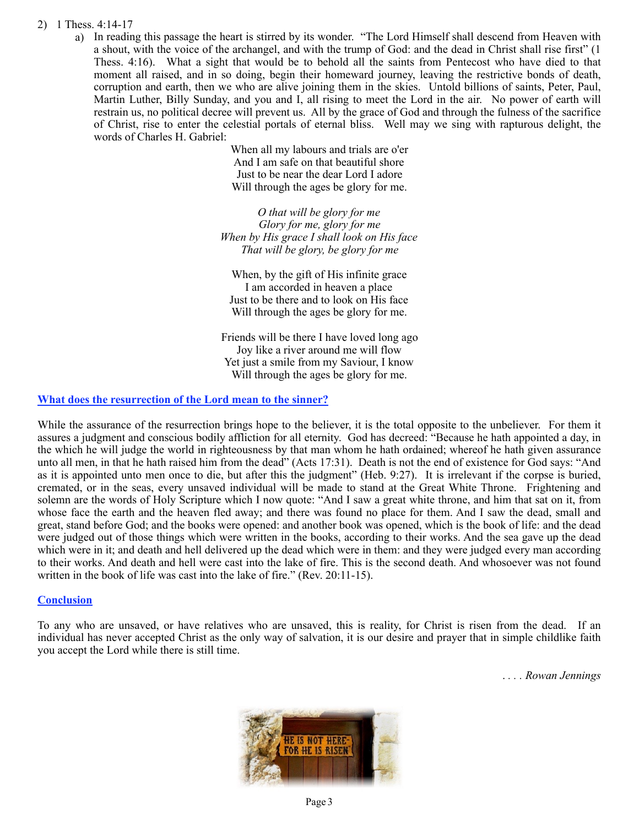#### 2) 1 Thess. 4:14-17

a) In reading this passage the heart is stirred by its wonder. "The Lord Himself shall descend from Heaven with a shout, with the voice of the archangel, and with the trump of God: and the dead in Christ shall rise first" (1 Thess. 4:16). What a sight that would be to behold all the saints from Pentecost who have died to that moment all raised, and in so doing, begin their homeward journey, leaving the restrictive bonds of death, corruption and earth, then we who are alive joining them in the skies. Untold billions of saints, Peter, Paul, Martin Luther, Billy Sunday, and you and I, all rising to meet the Lord in the air. No power of earth will restrain us, no political decree will prevent us. All by the grace of God and through the fulness of the sacrifice of Christ, rise to enter the celestial portals of eternal bliss. Well may we sing with rapturous delight, the words of Charles H. Gabriel:

When all my labours and trials are o'er And I am safe on that beautiful shore Just to be near the dear Lord I adore Will through the ages be glory for me.

*O that will be glory for me Glory for me, glory for me When by His grace I shall look on His face That will be glory, be glory for me* 

When, by the gift of His infinite grace I am accorded in heaven a place Just to be there and to look on His face Will through the ages be glory for me.

Friends will be there I have loved long ago Joy like a river around me will flow Yet just a smile from my Saviour, I know Will through the ages be glory for me.

#### **What does the resurrection of the Lord mean to the sinner?**

While the assurance of the resurrection brings hope to the believer, it is the total opposite to the unbeliever. For them it assures a judgment and conscious bodily affliction for all eternity. God has decreed: "Because he hath appointed a day, in the which he will judge the world in righteousness by that man whom he hath ordained; whereof he hath given assurance unto all men, in that he hath raised him from the dead" (Acts 17:31). Death is not the end of existence for God says: "And as it is appointed unto men once to die, but after this the judgment" (Heb. 9:27). It is irrelevant if the corpse is buried, cremated, or in the seas, every unsaved individual will be made to stand at the Great White Throne. Frightening and solemn are the words of Holy Scripture which I now quote: "And I saw a great white throne, and him that sat on it, from whose face the earth and the heaven fled away; and there was found no place for them. And I saw the dead, small and great, stand before God; and the books were opened: and another book was opened, which is the book of life: and the dead were judged out of those things which were written in the books, according to their works. And the sea gave up the dead which were in it; and death and hell delivered up the dead which were in them: and they were judged every man according to their works. And death and hell were cast into the lake of fire. This is the second death. And whosoever was not found written in the book of life was cast into the lake of fire." (Rev. 20:11-15).

#### **Conclusion**

To any who are unsaved, or have relatives who are unsaved, this is reality, for Christ is risen from the dead. If an individual has never accepted Christ as the only way of salvation, it is our desire and prayer that in simple childlike faith you accept the Lord while there is still time.

. *. . . Rowan Jennings*